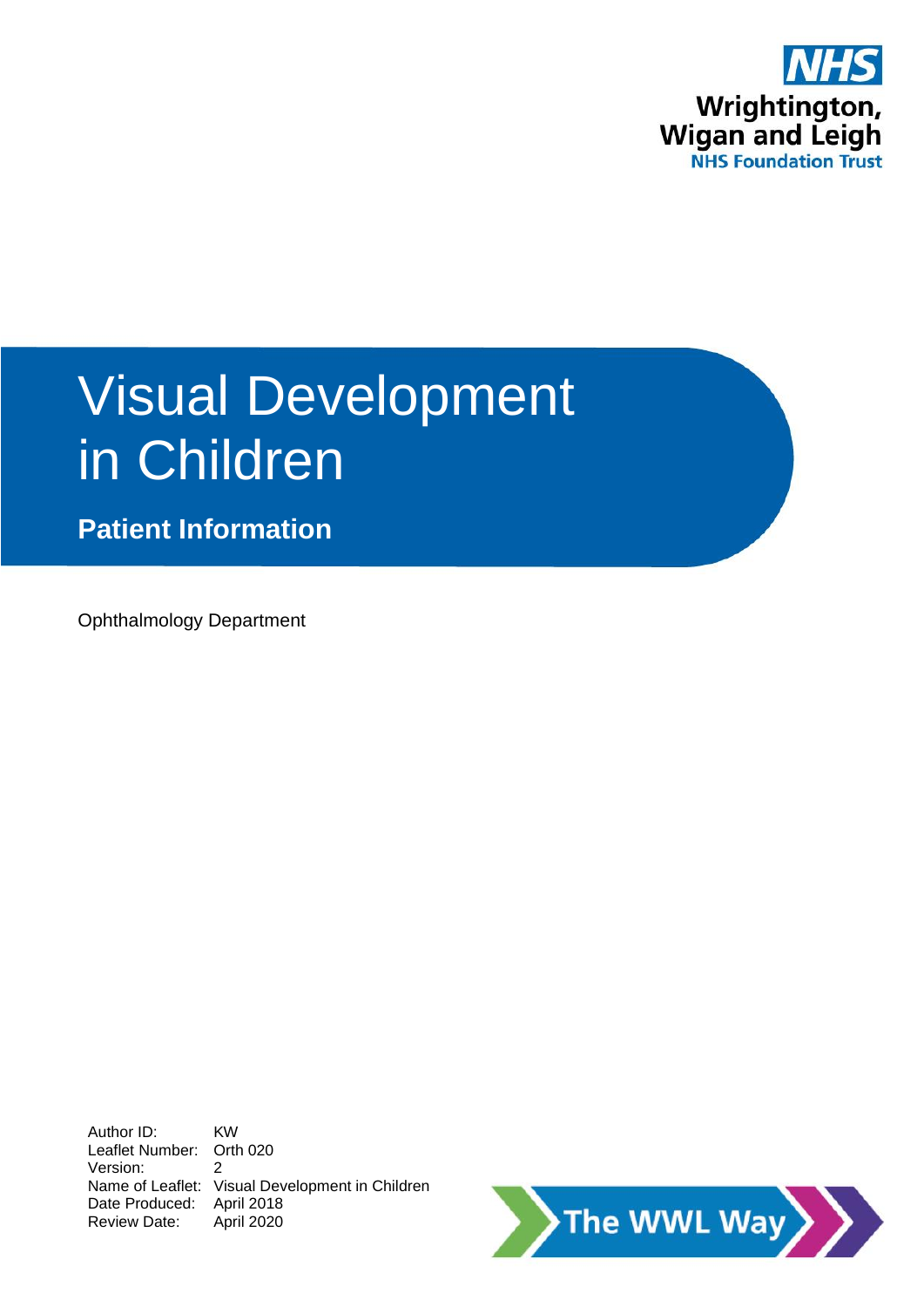

# Visual Development in Children

**Patient Information**

Ophthalmology Department

Author ID: KW Leaflet Number: Orth 020 Version: 2 Name of Leaflet: Visual Development in Children Date Produced: April 2018 Review Date: April 2020

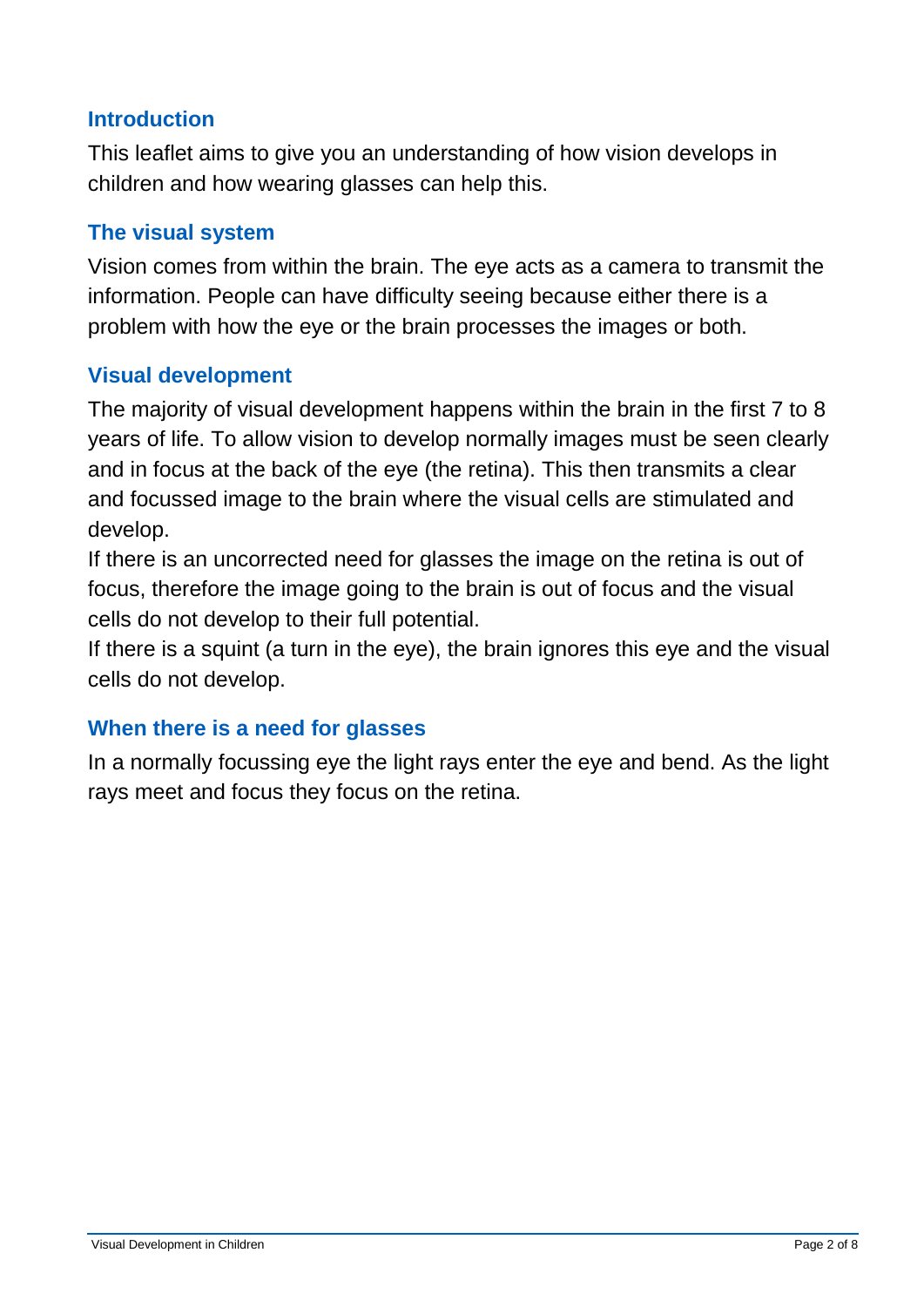## **Introduction**

This leaflet aims to give you an understanding of how vision develops in children and how wearing glasses can help this.

#### **The visual system**

Vision comes from within the brain. The eye acts as a camera to transmit the information. People can have difficulty seeing because either there is a problem with how the eye or the brain processes the images or both.

#### **Visual development**

The majority of visual development happens within the brain in the first 7 to 8 years of life. To allow vision to develop normally images must be seen clearly and in focus at the back of the eye (the retina). This then transmits a clear and focussed image to the brain where the visual cells are stimulated and develop.

If there is an uncorrected need for glasses the image on the retina is out of focus, therefore the image going to the brain is out of focus and the visual cells do not develop to their full potential.

If there is a squint (a turn in the eye), the brain ignores this eye and the visual cells do not develop.

#### **When there is a need for glasses**

In a normally focussing eye the light rays enter the eye and bend. As the light rays meet and focus they focus on the retina.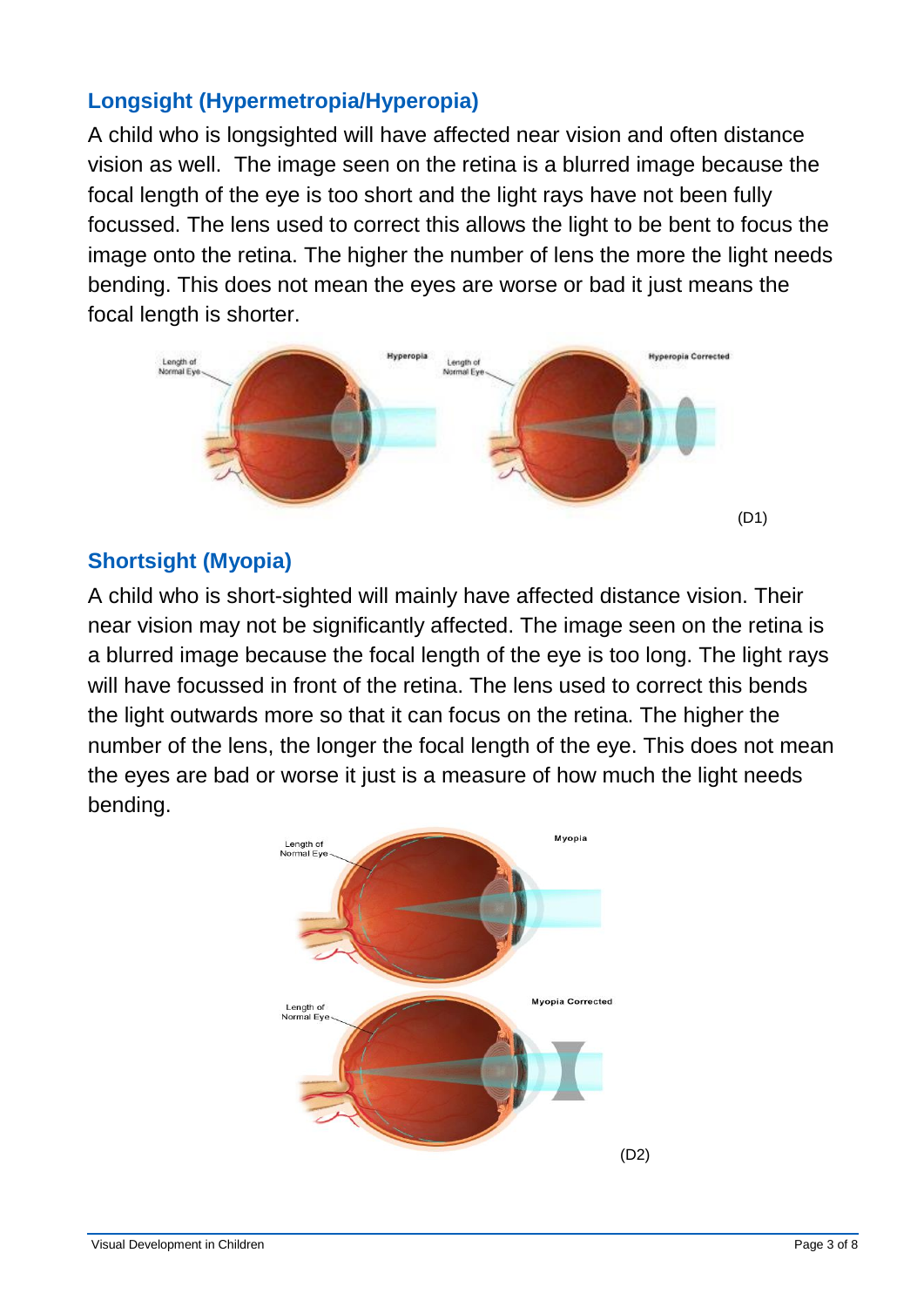## **Longsight (Hypermetropia/Hyperopia)**

A child who is longsighted will have affected near vision and often distance vision as well. The image seen on the retina is a blurred image because the focal length of the eye is too short and the light rays have not been fully focussed. The lens used to correct this allows the light to be bent to focus the image onto the retina. The higher the number of lens the more the light needs bending. This does not mean the eyes are worse or bad it just means the focal length is shorter.



## **Shortsight (Myopia)**

A child who is short-sighted will mainly have affected distance vision. Their near vision may not be significantly affected. The image seen on the retina is a blurred image because the focal length of the eye is too long. The light rays will have focussed in front of the retina. The lens used to correct this bends the light outwards more so that it can focus on the retina. The higher the number of the lens, the longer the focal length of the eye. This does not mean the eyes are bad or worse it just is a measure of how much the light needs bending.

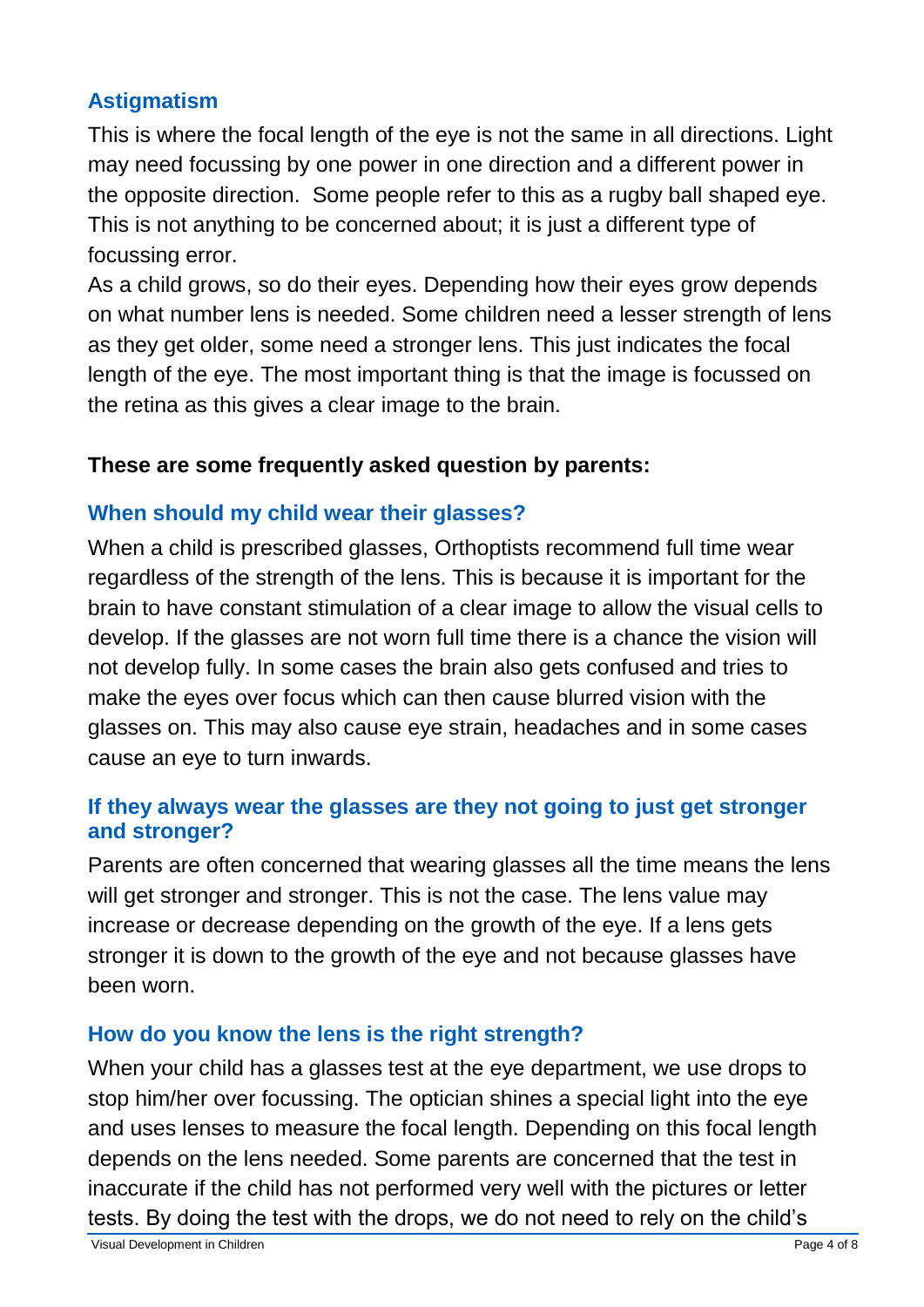## **Astigmatism**

This is where the focal length of the eye is not the same in all directions. Light may need focussing by one power in one direction and a different power in the opposite direction. Some people refer to this as a rugby ball shaped eye. This is not anything to be concerned about; it is just a different type of focussing error.

As a child grows, so do their eyes. Depending how their eyes grow depends on what number lens is needed. Some children need a lesser strength of lens as they get older, some need a stronger lens. This just indicates the focal length of the eye. The most important thing is that the image is focussed on the retina as this gives a clear image to the brain.

## **These are some frequently asked question by parents:**

## **When should my child wear their glasses?**

When a child is prescribed glasses, Orthoptists recommend full time wear regardless of the strength of the lens. This is because it is important for the brain to have constant stimulation of a clear image to allow the visual cells to develop. If the glasses are not worn full time there is a chance the vision will not develop fully. In some cases the brain also gets confused and tries to make the eyes over focus which can then cause blurred vision with the glasses on. This may also cause eye strain, headaches and in some cases cause an eye to turn inwards.

## **If they always wear the glasses are they not going to just get stronger and stronger?**

Parents are often concerned that wearing glasses all the time means the lens will get stronger and stronger. This is not the case. The lens value may increase or decrease depending on the growth of the eye. If a lens gets stronger it is down to the growth of the eye and not because glasses have been worn.

## **How do you know the lens is the right strength?**

When your child has a glasses test at the eye department, we use drops to stop him/her over focussing. The optician shines a special light into the eye and uses lenses to measure the focal length. Depending on this focal length depends on the lens needed. Some parents are concerned that the test in inaccurate if the child has not performed very well with the pictures or letter tests. By doing the test with the drops, we do not need to rely on the child's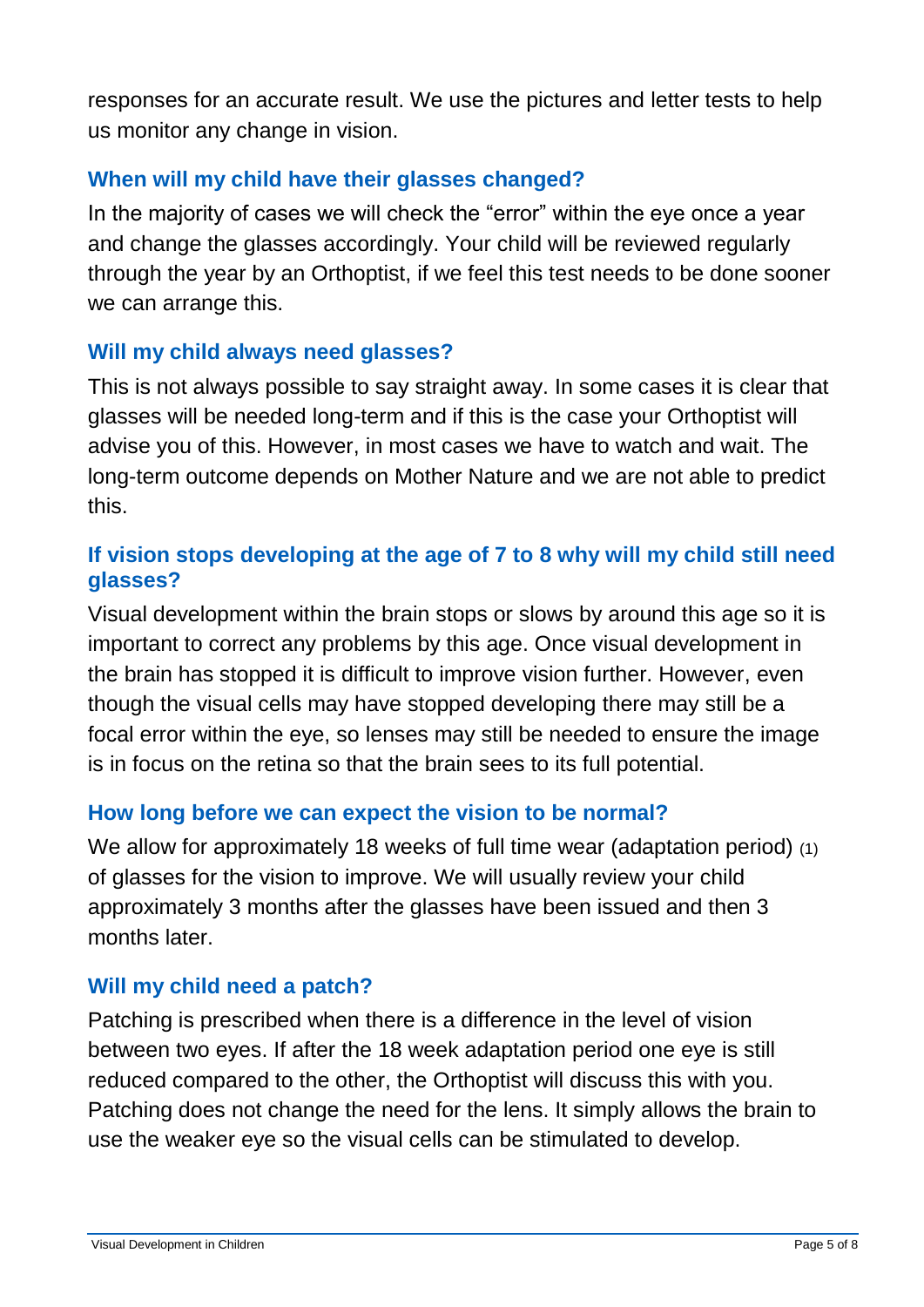responses for an accurate result. We use the pictures and letter tests to help us monitor any change in vision.

## **When will my child have their glasses changed?**

In the majority of cases we will check the "error" within the eye once a year and change the glasses accordingly. Your child will be reviewed regularly through the year by an Orthoptist, if we feel this test needs to be done sooner we can arrange this.

## **Will my child always need glasses?**

This is not always possible to say straight away. In some cases it is clear that glasses will be needed long-term and if this is the case your Orthoptist will advise you of this. However, in most cases we have to watch and wait. The long-term outcome depends on Mother Nature and we are not able to predict this.

## **If vision stops developing at the age of 7 to 8 why will my child still need glasses?**

Visual development within the brain stops or slows by around this age so it is important to correct any problems by this age. Once visual development in the brain has stopped it is difficult to improve vision further. However, even though the visual cells may have stopped developing there may still be a focal error within the eye, so lenses may still be needed to ensure the image is in focus on the retina so that the brain sees to its full potential.

#### **How long before we can expect the vision to be normal?**

We allow for approximately 18 weeks of full time wear (adaptation period) (1) of glasses for the vision to improve. We will usually review your child approximately 3 months after the glasses have been issued and then 3 months later.

## **Will my child need a patch?**

Patching is prescribed when there is a difference in the level of vision between two eyes. If after the 18 week adaptation period one eye is still reduced compared to the other, the Orthoptist will discuss this with you. Patching does not change the need for the lens. It simply allows the brain to use the weaker eye so the visual cells can be stimulated to develop.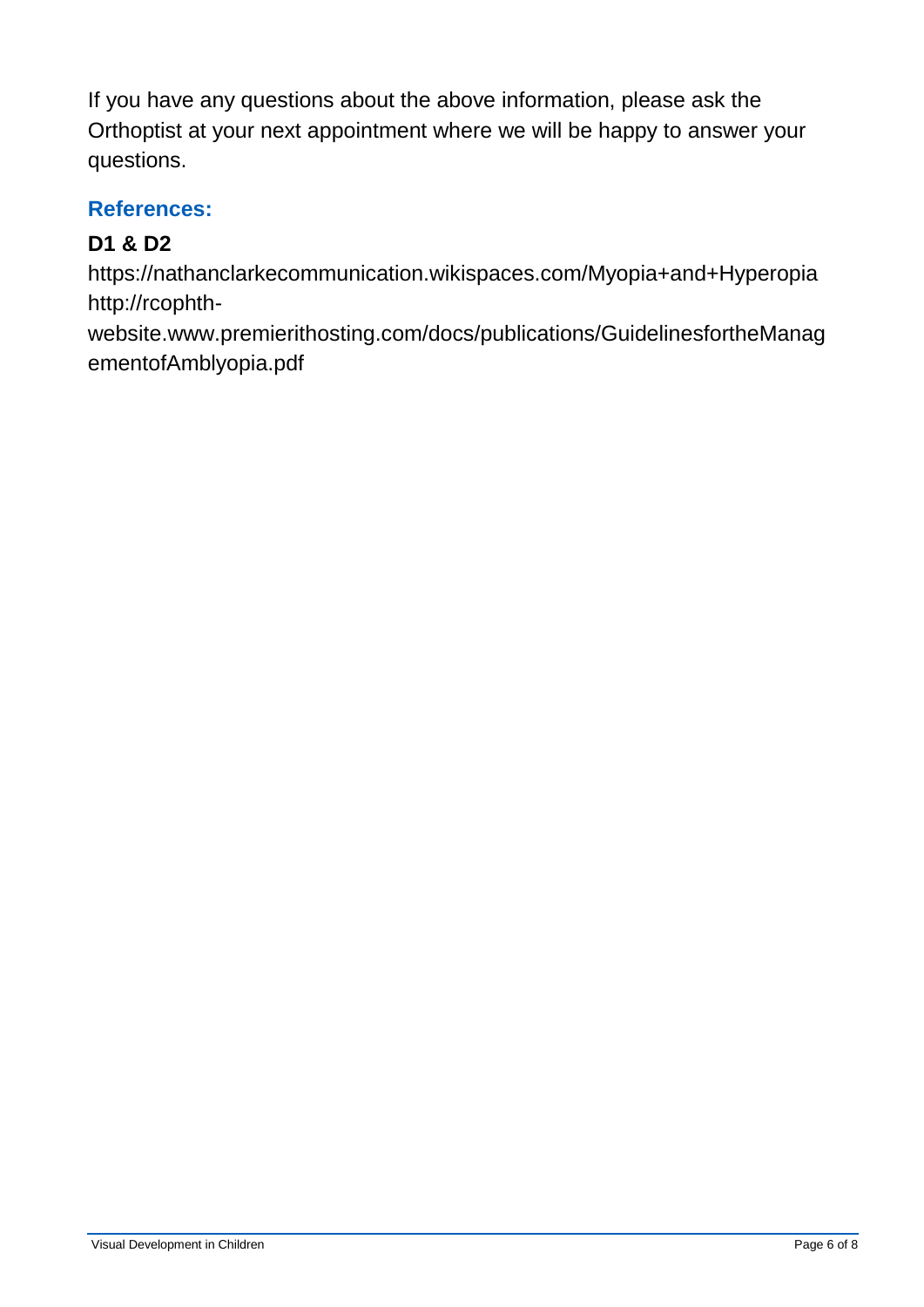If you have any questions about the above information, please ask the Orthoptist at your next appointment where we will be happy to answer your questions.

## **References:**

# **D1 & D2**

https://nathanclarkecommunication.wikispaces.com/Myopia+and+Hyperopia http://rcophth-

website.www.premierithosting.com/docs/publications/GuidelinesfortheManag ementofAmblyopia.pdf